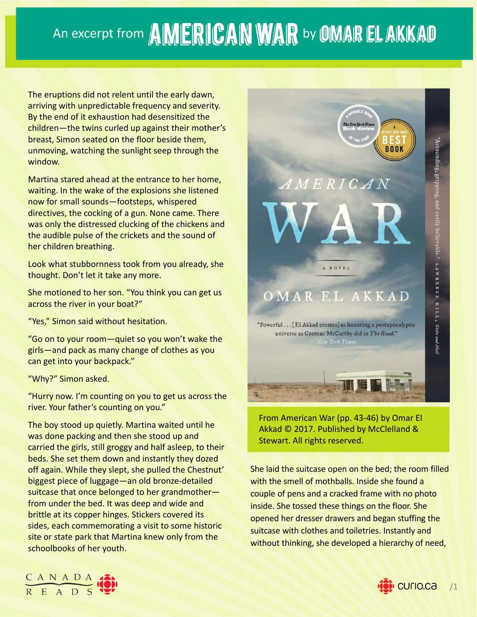## An excerpt from AMERICAN WAR by OMAR EL AKKAD

The eruptions did not relent until the early dawn, arriving with unpredictable frequency and severity. By the end of it exhaustion had desensitized the children—the twins curled up against their mother's breast, Simon seated on the floor beside them, unmoving, watching the sunlight seep through the window.

Martina stared ahead at the entrance to her home, waiting. In the wake of the explosions she listened now for small sounds—footsteps, whispered directives, the cocking of a gun. None came. There was only the distressed clucking of the chickens and the audible pulse of the crickets and the sound of her children breathing.

Look what stubbornness took from you already, she thought. Don't let it take any more.

She motioned to her son. "You think you can get us across the river in your boat?"

"Yes," Simon said without hesitation.

"Go on to your room—quiet so you won't wake the girls—and pack as many change of clothes as you can get into your backpack."

"Why?" Simon asked.

"Hurry now. I'm counting on you to get us across the river. Your father's counting on you."

The boy stood up quietly. Martina waited until he was done packing and then she stood up and carried the girls, still groggy and half asleep, to their beds. She set them down and instantly they dozed off again. While they slept, she pulled the Chestnut' biggest piece of luggage—an old bronze‐detailed suitcase that once belonged to her grandmother from under the bed. It was deep and wide and brittle at its copper hinges. Stickers covered its sides, each commemorating a visit to some historic site or state park that Martina knew only from the schoolbooks of her youth.



From American War (pp. 43‐46) by Omar El Akkad © 2017. Published by McClelland & Stewart. All rights reserved.

She laid the suitcase open on the bed; the room filled with the smell of mothballs. Inside she found a couple of pens and a cracked frame with no photo inside. She tossed these things on the floor. She opened her dresser drawers and began stuffing the suitcase with clothes and toiletries. Instantly and without thinking, she developed a hierarchy of need,



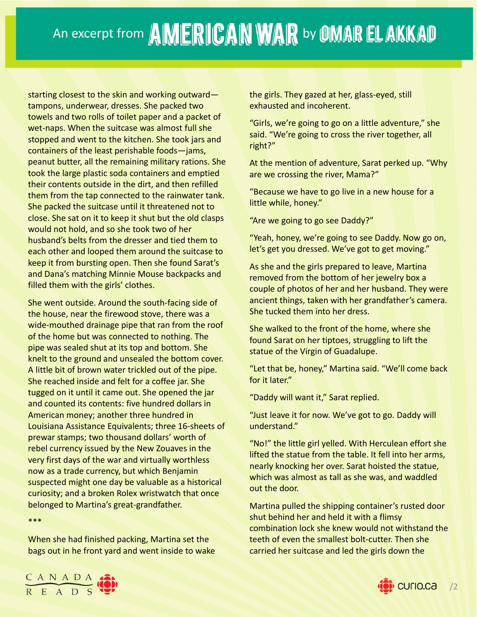starting closest to the skin and working outward tampons, underwear, dresses. She packed two towels and two rolls of toilet paper and a packet of wet-naps. When the suitcase was almost full she stopped and went to the kitchen. She took jars and containers of the least perishable foods—jams, peanut butter, all the remaining military rations. She took the large plastic soda containers and emptied their contents outside in the dirt, and then refilled them from the tap connected to the rainwater tank. She packed the suitcase until it threatened not to close. She sat on it to keep it shut but the old clasps would not hold, and so she took two of her husband's belts from the dresser and tied them to each other and looped them around the suitcase to keep it from bursting open. Then she found Sarat's and Dana's matching Minnie Mouse backpacks and filled them with the girls' clothes.

She went outside. Around the south‐facing side of the house, near the firewood stove, there was a wide-mouthed drainage pipe that ran from the roof of the home but was connected to nothing. The pipe was sealed shut at its top and bottom. She knelt to the ground and unsealed the bottom cover. A little bit of brown water trickled out of the pipe. She reached inside and felt for a coffee jar. She tugged on it until it came out. She opened the jar and counted its contents: five hundred dollars in American money; another three hundred in Louisiana Assistance Equivalents; three 16‐sheets of prewar stamps; two thousand dollars' worth of rebel currency issued by the New Zouaves in the very first days of the war and virtually worthless now as a trade currency, but which Benjamin suspected might one day be valuable as a historical curiosity; and a broken Rolex wristwatch that once belonged to Martina's great‐grandfather.

\*\*\*

When she had finished packing, Martina set the bags out in he front yard and went inside to wake the girls. They gazed at her, glass-eyed, still exhausted and incoherent.

"Girls, we're going to go on a little adventure," she said. "We're going to cross the river together, all right?"

At the mention of adventure, Sarat perked up. "Why are we crossing the river, Mama?"

"Because we have to go live in a new house for a little while, honey."

"Are we going to go see Daddy?"

"Yeah, honey, we're going to see Daddy. Now go on, let's get you dressed. We've got to get moving."

As she and the girls prepared to leave, Martina removed from the bottom of her jewelry box a couple of photos of her and her husband. They were ancient things, taken with her grandfather's camera. She tucked them into her dress.

She walked to the front of the home, where she found Sarat on her tiptoes, struggling to lift the statue of the Virgin of Guadalupe.

"Let that be, honey," Martina said. "We'll come back for it later."

"Daddy will want it," Sarat replied.

"Just leave it for now. We've got to go. Daddy will understand."

"No!" the little girl yelled. With Herculean effort she lifted the statue from the table. It fell into her arms, nearly knocking her over. Sarat hoisted the statue, which was almost as tall as she was, and waddled out the door.

Martina pulled the shipping container's rusted door shut behind her and held it with a flimsy combination lock she knew would not withstand the teeth of even the smallest bolt-cutter. Then she carried her suitcase and led the girls down the